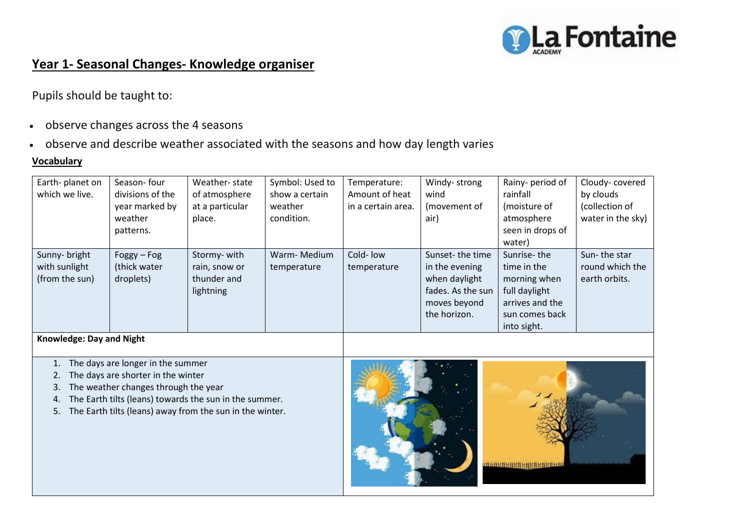

## **Year 1- Seasonal Changes- Knowledge organiser**

Pupils should be taught to:

- observe changes across the 4 seasons
- observe and describe weather associated with the seasons and how day length varies

## **Vocabulary**

| Earth-planet on<br>which we live.                | Season-four<br>divisions of the<br>year marked by<br>weather<br>patterns. | Weather-state<br>of atmosphere<br>at a particular<br>place. | Symbol: Used to<br>show a certain<br>weather<br>condition. | Temperature:<br>Amount of heat<br>in a certain area. | Windy-strong<br>wind<br>(movement of<br>air)                                                            | Rainy- period of<br>rainfall<br>(moisture of<br>atmosphere<br>seen in drops of<br>water)                        | Cloudy-covered<br>by clouds<br>(collection of<br>water in the sky) |
|--------------------------------------------------|---------------------------------------------------------------------------|-------------------------------------------------------------|------------------------------------------------------------|------------------------------------------------------|---------------------------------------------------------------------------------------------------------|-----------------------------------------------------------------------------------------------------------------|--------------------------------------------------------------------|
| Sunny- bright<br>with sunlight<br>(from the sun) | $Foggy - Fog$<br>(thick water<br>droplets)                                | Stormy-with<br>rain, snow or<br>thunder and<br>lightning    | Warm-Medium<br>temperature                                 | Cold-Iow<br>temperature                              | Sunset-the time<br>in the evening<br>when daylight<br>fades. As the sun<br>moves beyond<br>the horizon. | Sunrise-the<br>time in the<br>morning when<br>full daylight<br>arrives and the<br>sun comes back<br>into sight. | Sun-the star<br>round which the<br>earth orbits.                   |

**Knowledge: Day and Night**

1. The days are longer in the summer

2. The days are shorter in the winter

- 3. The weather changes through the year
- 4. The Earth tilts (leans) towards the sun in the summer.
- 5. The Earth tilts (leans) away from the sun in the winter.

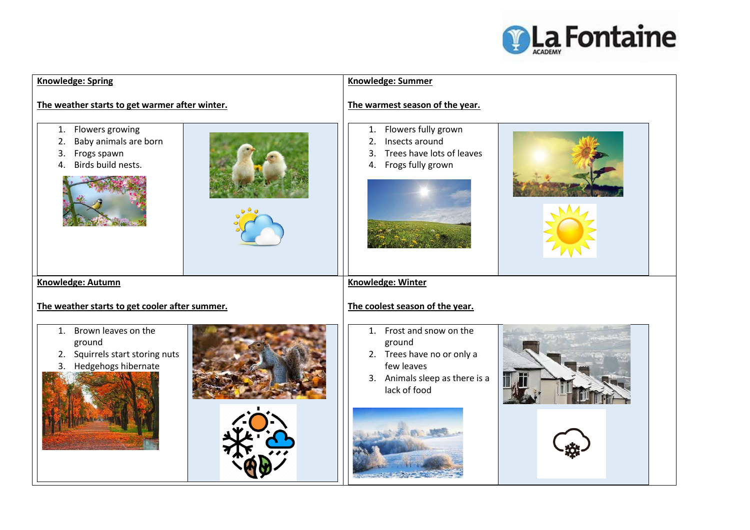

| <b>Knowledge: Spring</b>                                                                              | <b>Knowledge: Summer</b>                                                                                                         |  |  |  |  |
|-------------------------------------------------------------------------------------------------------|----------------------------------------------------------------------------------------------------------------------------------|--|--|--|--|
| The weather starts to get warmer after winter.                                                        | The warmest season of the year.                                                                                                  |  |  |  |  |
| Flowers growing<br>1.<br>Baby animals are born<br>2.<br>Frogs spawn<br>3.<br>Birds build nests.<br>4. | 1. Flowers fully grown<br>Insects around<br>2.<br>Trees have lots of leaves<br>3.<br>4. Frogs fully grown                        |  |  |  |  |
| Knowledge: Autumn                                                                                     | <b>Knowledge: Winter</b>                                                                                                         |  |  |  |  |
| The weather starts to get cooler after summer.                                                        | The coolest season of the year.                                                                                                  |  |  |  |  |
| 1. Brown leaves on the<br>ground<br>Squirrels start storing nuts<br>2.<br>Hedgehogs hibernate<br>3.   | 1. Frost and snow on the<br>ground<br>2. Trees have no or only a<br>few leaves<br>3. Animals sleep as there is a<br>lack of food |  |  |  |  |
|                                                                                                       |                                                                                                                                  |  |  |  |  |